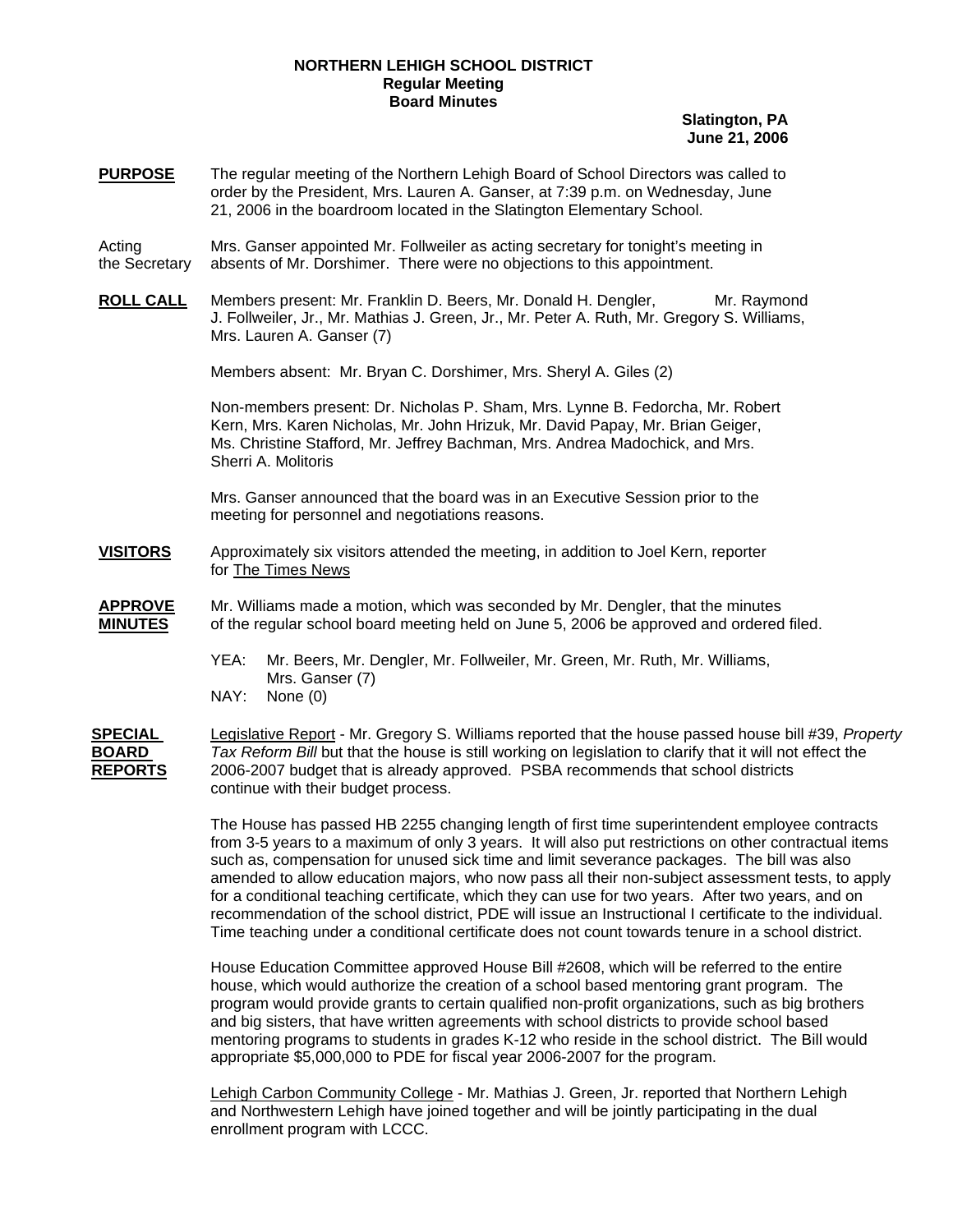## **NORTHERN LEHIGH SCHOOL DISTRICT Regular Meeting Board Minutes**

**Slatington, PA June 21, 2006**

**PURPOSE** The regular meeting of the Northern Lehigh Board of School Directors was called to order by the President, Mrs. Lauren A. Ganser, at 7:39 p.m. on Wednesday, June 21, 2006 in the boardroom located in the Slatington Elementary School.

Acting Mrs. Ganser appointed Mr. Follweiler as acting secretary for tonight's meeting in the Secretary absents of Mr. Dorshimer. There were no objections to this appointment.

**ROLL CALL** Members present: Mr. Franklin D. Beers, Mr. Donald H. Dengler, Mr. Raymond J. Follweiler, Jr., Mr. Mathias J. Green, Jr., Mr. Peter A. Ruth, Mr. Gregory S. Williams, Mrs. Lauren A. Ganser (7)

Members absent: Mr. Bryan C. Dorshimer, Mrs. Sheryl A. Giles (2)

Non-members present: Dr. Nicholas P. Sham, Mrs. Lynne B. Fedorcha, Mr. Robert Kern, Mrs. Karen Nicholas, Mr. John Hrizuk, Mr. David Papay, Mr. Brian Geiger, Ms. Christine Stafford, Mr. Jeffrey Bachman, Mrs. Andrea Madochick, and Mrs. Sherri A. Molitoris

Mrs. Ganser announced that the board was in an Executive Session prior to the meeting for personnel and negotiations reasons.

- **VISITORS** Approximately six visitors attended the meeting, in addition to Joel Kern, reporter for The Times News
- **APPROVE** Mr. Williams made a motion, which was seconded by Mr. Dengler, that the minutes **MINUTES** of the regular school board meeting held on June 5, 2006 be approved and ordered filed.
	- YEA: Mr. Beers, Mr. Dengler, Mr. Follweiler, Mr. Green, Mr. Ruth, Mr. Williams, Mrs. Ganser (7)
	- NAY: None (0)

**SPECIAL** Legislative Report - Mr. Gregory S. Williams reported that the house passed house bill #39, *Property* **BOARD** *Tax Reform Bill* but that the house is still working on legislation to clarify that it will not effect the **REPORTS** 2006-2007 budget that is already approved. PSBA recommends that school districts continue with their budget process.

> The House has passed HB 2255 changing length of first time superintendent employee contracts from 3-5 years to a maximum of only 3 years. It will also put restrictions on other contractual items such as, compensation for unused sick time and limit severance packages. The bill was also amended to allow education majors, who now pass all their non-subject assessment tests, to apply for a conditional teaching certificate, which they can use for two years. After two years, and on recommendation of the school district, PDE will issue an Instructional I certificate to the individual. Time teaching under a conditional certificate does not count towards tenure in a school district.

House Education Committee approved House Bill #2608, which will be referred to the entire house, which would authorize the creation of a school based mentoring grant program. The program would provide grants to certain qualified non-profit organizations, such as big brothers and big sisters, that have written agreements with school districts to provide school based mentoring programs to students in grades K-12 who reside in the school district. The Bill would appropriate \$5,000,000 to PDE for fiscal year 2006-2007 for the program.

Lehigh Carbon Community College - Mr. Mathias J. Green, Jr. reported that Northern Lehigh and Northwestern Lehigh have joined together and will be jointly participating in the dual enrollment program with LCCC.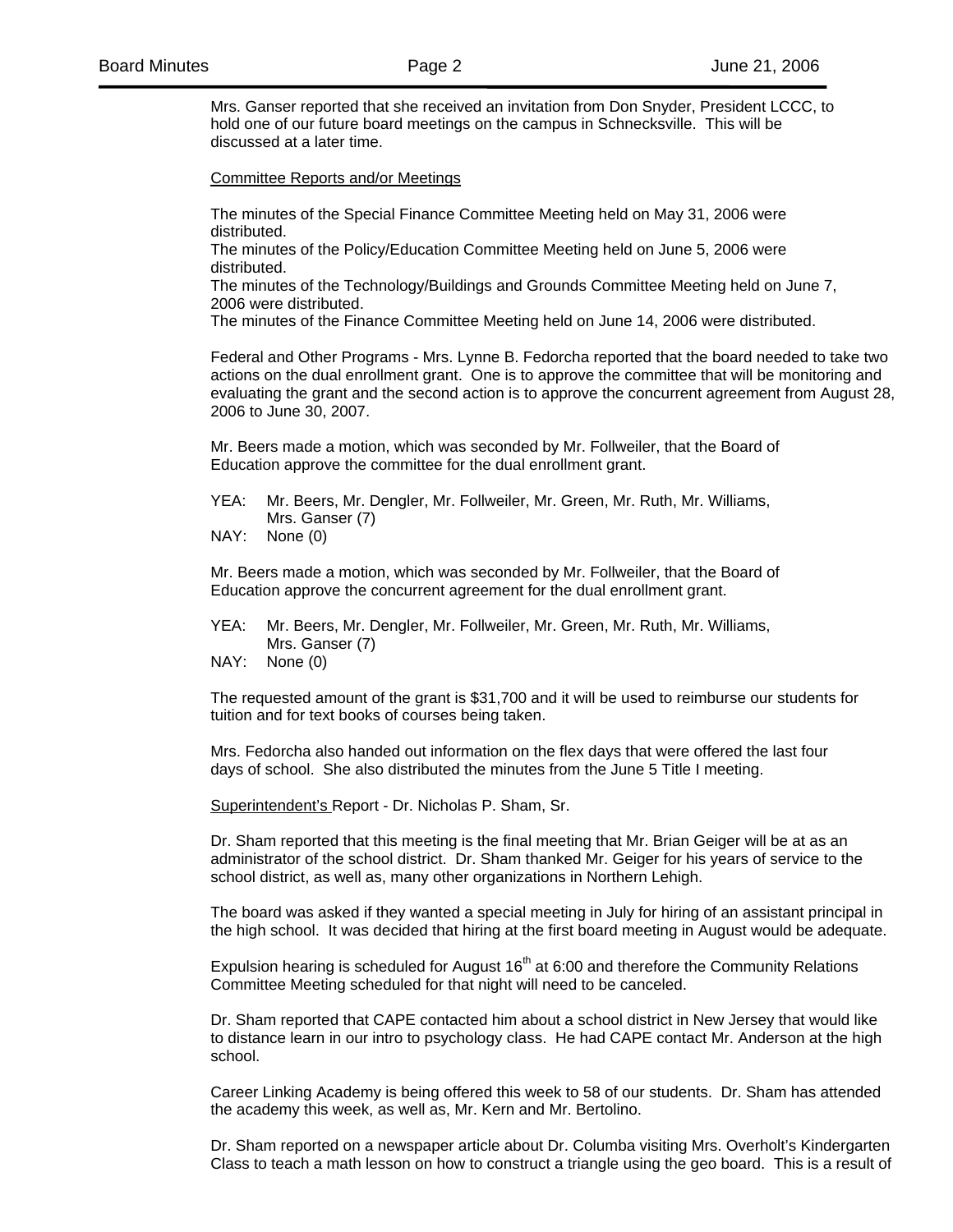Mrs. Ganser reported that she received an invitation from Don Snyder, President LCCC, to hold one of our future board meetings on the campus in Schnecksville. This will be discussed at a later time.

Committee Reports and/or Meetings

The minutes of the Special Finance Committee Meeting held on May 31, 2006 were distributed.

The minutes of the Policy/Education Committee Meeting held on June 5, 2006 were distributed.

The minutes of the Technology/Buildings and Grounds Committee Meeting held on June 7, 2006 were distributed.

The minutes of the Finance Committee Meeting held on June 14, 2006 were distributed.

 Federal and Other Programs - Mrs. Lynne B. Fedorcha reported that the board needed to take two actions on the dual enrollment grant. One is to approve the committee that will be monitoring and evaluating the grant and the second action is to approve the concurrent agreement from August 28, 2006 to June 30, 2007.

Mr. Beers made a motion, which was seconded by Mr. Follweiler, that the Board of Education approve the committee for the dual enrollment grant.

 YEA: Mr. Beers, Mr. Dengler, Mr. Follweiler, Mr. Green, Mr. Ruth, Mr. Williams, Mrs. Ganser (7)

NAY: None (0)

Mr. Beers made a motion, which was seconded by Mr. Follweiler, that the Board of Education approve the concurrent agreement for the dual enrollment grant.

 YEA: Mr. Beers, Mr. Dengler, Mr. Follweiler, Mr. Green, Mr. Ruth, Mr. Williams, Mrs. Ganser (7)

NAY: None (0)

 The requested amount of the grant is \$31,700 and it will be used to reimburse our students for tuition and for text books of courses being taken.

Mrs. Fedorcha also handed out information on the flex days that were offered the last four days of school. She also distributed the minutes from the June 5 Title I meeting.

Superintendent's Report - Dr. Nicholas P. Sham, Sr.

Dr. Sham reported that this meeting is the final meeting that Mr. Brian Geiger will be at as an administrator of the school district. Dr. Sham thanked Mr. Geiger for his years of service to the school district, as well as, many other organizations in Northern Lehigh.

The board was asked if they wanted a special meeting in July for hiring of an assistant principal in the high school. It was decided that hiring at the first board meeting in August would be adequate.

Expulsion hearing is scheduled for August  $16<sup>th</sup>$  at 6:00 and therefore the Community Relations Committee Meeting scheduled for that night will need to be canceled.

Dr. Sham reported that CAPE contacted him about a school district in New Jersey that would like to distance learn in our intro to psychology class. He had CAPE contact Mr. Anderson at the high school.

Career Linking Academy is being offered this week to 58 of our students. Dr. Sham has attended the academy this week, as well as, Mr. Kern and Mr. Bertolino.

Dr. Sham reported on a newspaper article about Dr. Columba visiting Mrs. Overholt's Kindergarten Class to teach a math lesson on how to construct a triangle using the geo board. This is a result of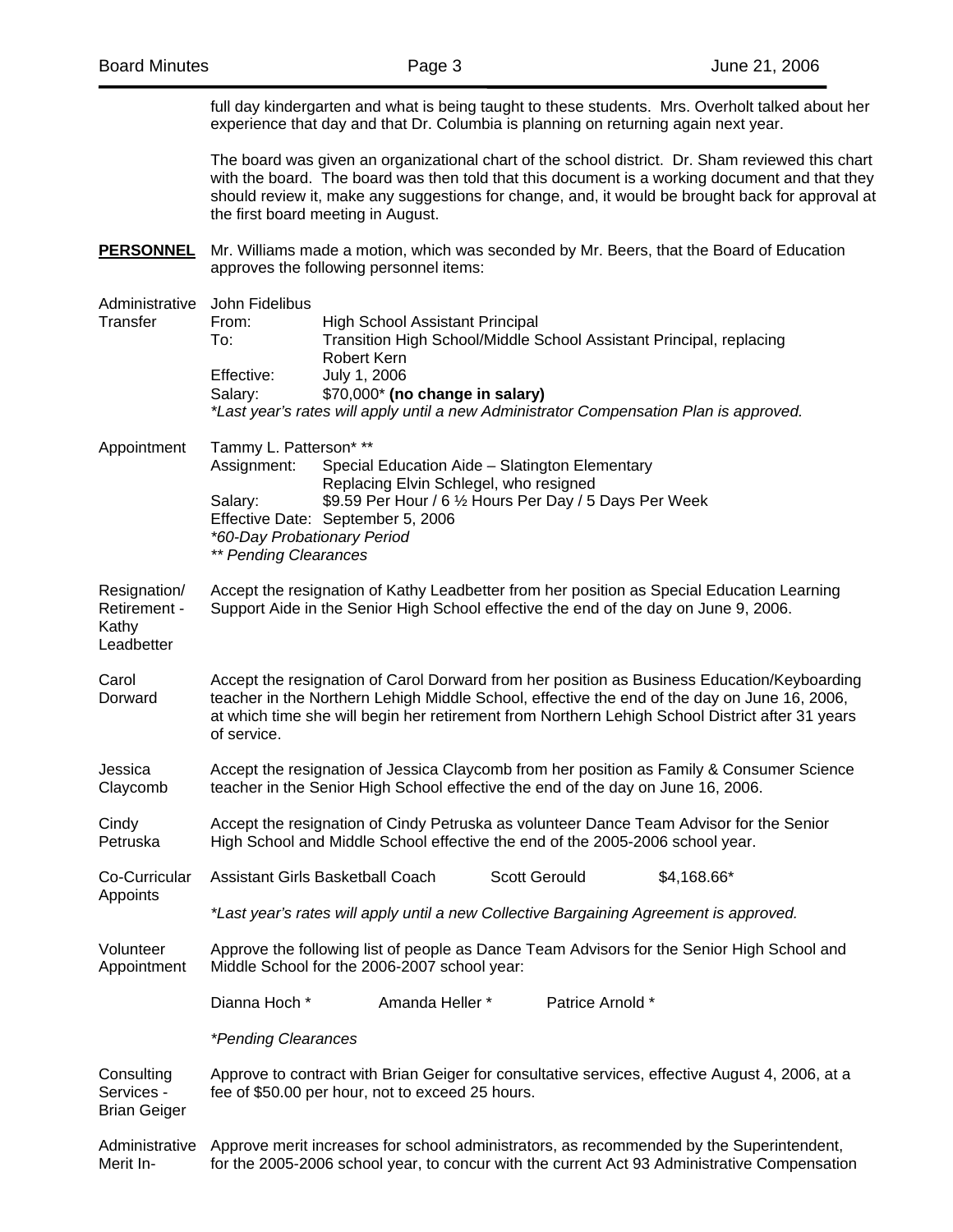|                                                     | full day kindergarten and what is being taught to these students. Mrs. Overholt talked about her<br>experience that day and that Dr. Columbia is planning on returning again next year.                                                                                                                                       |                                    |                      |                  |                                                                                                                                                                                                                                                                                                        |  |
|-----------------------------------------------------|-------------------------------------------------------------------------------------------------------------------------------------------------------------------------------------------------------------------------------------------------------------------------------------------------------------------------------|------------------------------------|----------------------|------------------|--------------------------------------------------------------------------------------------------------------------------------------------------------------------------------------------------------------------------------------------------------------------------------------------------------|--|
|                                                     |                                                                                                                                                                                                                                                                                                                               | the first board meeting in August. |                      |                  | The board was given an organizational chart of the school district. Dr. Sham reviewed this chart<br>with the board. The board was then told that this document is a working document and that they<br>should review it, make any suggestions for change, and, it would be brought back for approval at |  |
| <b>PERSONNEL</b>                                    | Mr. Williams made a motion, which was seconded by Mr. Beers, that the Board of Education<br>approves the following personnel items:                                                                                                                                                                                           |                                    |                      |                  |                                                                                                                                                                                                                                                                                                        |  |
| Administrative<br>Transfer                          | John Fidelibus<br>High School Assistant Principal<br>From:<br>Transition High School/Middle School Assistant Principal, replacing<br>To:<br>Robert Kern<br>July 1, 2006<br>Effective:<br>\$70,000* (no change in salary)<br>Salary:<br>*Last year's rates will apply until a new Administrator Compensation Plan is approved. |                                    |                      |                  |                                                                                                                                                                                                                                                                                                        |  |
| Appointment                                         | Tammy L. Patterson* **<br>Assignment:<br>Special Education Aide - Slatington Elementary<br>Replacing Elvin Schlegel, who resigned<br>\$9.59 Per Hour / 6 1/2 Hours Per Day / 5 Days Per Week<br>Salary:<br>Effective Date: September 5, 2006<br>*60-Day Probationary Period<br>** Pending Clearances                          |                                    |                      |                  |                                                                                                                                                                                                                                                                                                        |  |
| Resignation/<br>Retirement -<br>Kathy<br>Leadbetter | Accept the resignation of Kathy Leadbetter from her position as Special Education Learning<br>Support Aide in the Senior High School effective the end of the day on June 9, 2006.                                                                                                                                            |                                    |                      |                  |                                                                                                                                                                                                                                                                                                        |  |
| Carol<br>Dorward                                    | Accept the resignation of Carol Dorward from her position as Business Education/Keyboarding<br>teacher in the Northern Lehigh Middle School, effective the end of the day on June 16, 2006,<br>at which time she will begin her retirement from Northern Lehigh School District after 31 years<br>of service.                 |                                    |                      |                  |                                                                                                                                                                                                                                                                                                        |  |
| Jessica<br>Claycomb                                 | Accept the resignation of Jessica Claycomb from her position as Family & Consumer Science<br>teacher in the Senior High School effective the end of the day on June 16, 2006.                                                                                                                                                 |                                    |                      |                  |                                                                                                                                                                                                                                                                                                        |  |
| Cindy<br>Petruska                                   | Accept the resignation of Cindy Petruska as volunteer Dance Team Advisor for the Senior<br>High School and Middle School effective the end of the 2005-2006 school year.                                                                                                                                                      |                                    |                      |                  |                                                                                                                                                                                                                                                                                                        |  |
| Co-Curricular                                       |                                                                                                                                                                                                                                                                                                                               | Assistant Girls Basketball Coach   | <b>Scott Gerould</b> |                  | \$4,168.66*                                                                                                                                                                                                                                                                                            |  |
| Appoints                                            | *Last year's rates will apply until a new Collective Bargaining Agreement is approved.                                                                                                                                                                                                                                        |                                    |                      |                  |                                                                                                                                                                                                                                                                                                        |  |
| Volunteer<br>Appointment                            | Approve the following list of people as Dance Team Advisors for the Senior High School and<br>Middle School for the 2006-2007 school year:                                                                                                                                                                                    |                                    |                      |                  |                                                                                                                                                                                                                                                                                                        |  |
|                                                     | Dianna Hoch *                                                                                                                                                                                                                                                                                                                 | Amanda Heller*                     |                      | Patrice Arnold * |                                                                                                                                                                                                                                                                                                        |  |
|                                                     | <i>*Pending Clearances</i>                                                                                                                                                                                                                                                                                                    |                                    |                      |                  |                                                                                                                                                                                                                                                                                                        |  |
| Consulting<br>Services -<br><b>Brian Geiger</b>     | Approve to contract with Brian Geiger for consultative services, effective August 4, 2006, at a<br>fee of \$50.00 per hour, not to exceed 25 hours.                                                                                                                                                                           |                                    |                      |                  |                                                                                                                                                                                                                                                                                                        |  |
| Administrative<br>Merit In-                         | Approve merit increases for school administrators, as recommended by the Superintendent,<br>for the 2005-2006 school year, to concur with the current Act 93 Administrative Compensation                                                                                                                                      |                                    |                      |                  |                                                                                                                                                                                                                                                                                                        |  |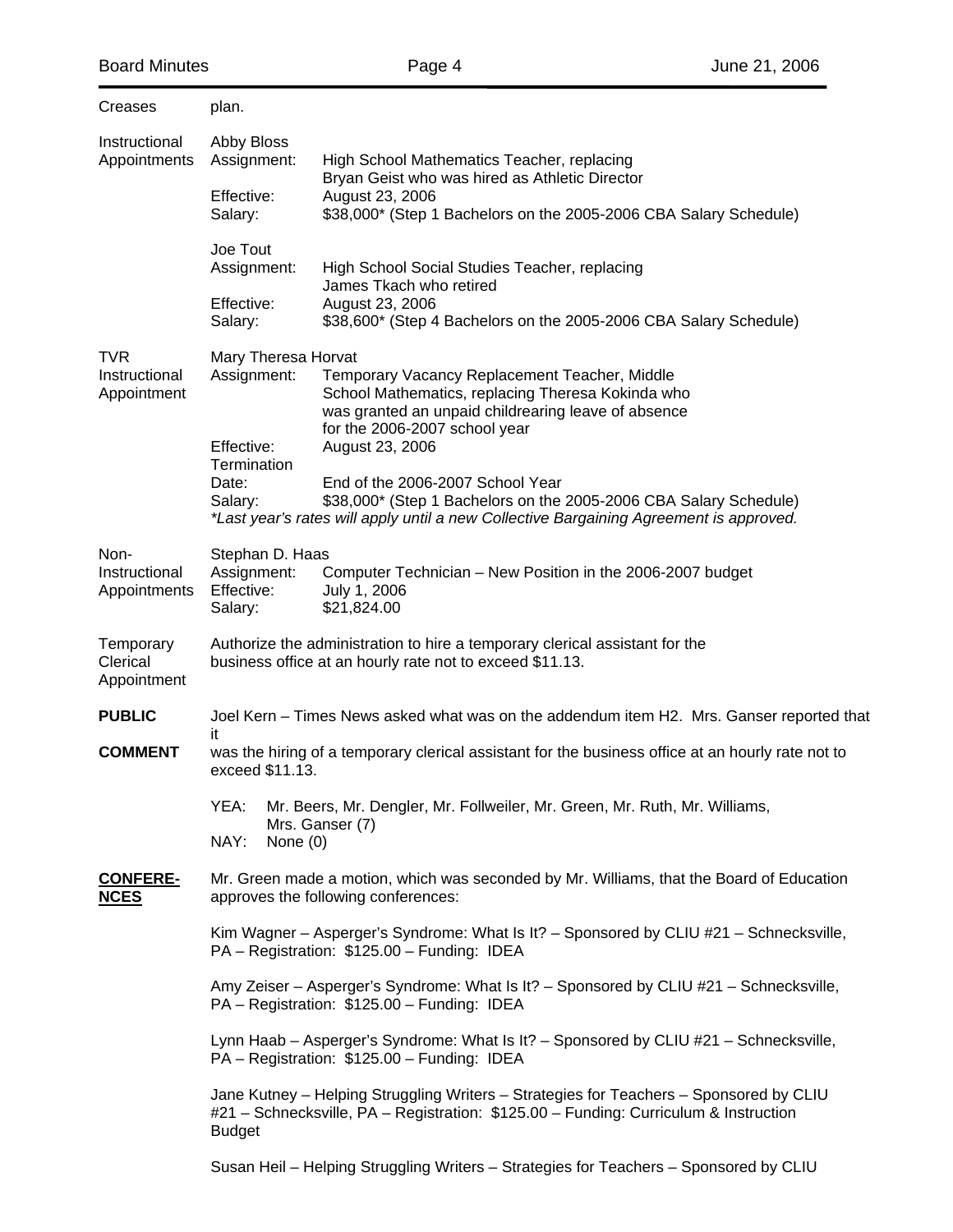| Creases                               | plan.                                                                                                                                                                                           |                                                                                                                                                                                                 |  |  |
|---------------------------------------|-------------------------------------------------------------------------------------------------------------------------------------------------------------------------------------------------|-------------------------------------------------------------------------------------------------------------------------------------------------------------------------------------------------|--|--|
| Instructional<br>Appointments         | Abby Bloss<br>Assignment:<br>High School Mathematics Teacher, replacing<br>Bryan Geist who was hired as Athletic Director                                                                       |                                                                                                                                                                                                 |  |  |
|                                       | Effective:<br>Salary:                                                                                                                                                                           | August 23, 2006<br>\$38,000* (Step 1 Bachelors on the 2005-2006 CBA Salary Schedule)                                                                                                            |  |  |
|                                       | Joe Tout<br>Assignment:                                                                                                                                                                         | High School Social Studies Teacher, replacing<br>James Tkach who retired                                                                                                                        |  |  |
|                                       | Effective:<br>Salary:                                                                                                                                                                           | August 23, 2006<br>\$38,600* (Step 4 Bachelors on the 2005-2006 CBA Salary Schedule)                                                                                                            |  |  |
| TVR<br>Instructional<br>Appointment   | Mary Theresa Horvat<br>Assignment:                                                                                                                                                              | Temporary Vacancy Replacement Teacher, Middle<br>School Mathematics, replacing Theresa Kokinda who<br>was granted an unpaid childrearing leave of absence<br>for the 2006-2007 school year      |  |  |
|                                       | Effective:                                                                                                                                                                                      | August 23, 2006                                                                                                                                                                                 |  |  |
|                                       | Termination<br>Date:<br>Salary:                                                                                                                                                                 | End of the 2006-2007 School Year<br>\$38,000* (Step 1 Bachelors on the 2005-2006 CBA Salary Schedule)<br>*Last year's rates will apply until a new Collective Bargaining Agreement is approved. |  |  |
|                                       |                                                                                                                                                                                                 |                                                                                                                                                                                                 |  |  |
| Non-<br>Instructional<br>Appointments | Stephan D. Haas<br>Assignment:<br>Effective:<br>Salary:                                                                                                                                         | Computer Technician - New Position in the 2006-2007 budget<br>July 1, 2006<br>\$21,824.00                                                                                                       |  |  |
| Temporary<br>Clerical<br>Appointment  | Authorize the administration to hire a temporary clerical assistant for the<br>business office at an hourly rate not to exceed \$11.13.                                                         |                                                                                                                                                                                                 |  |  |
| <b>PUBLIC</b>                         | Joel Kern - Times News asked what was on the addendum item H2. Mrs. Ganser reported that                                                                                                        |                                                                                                                                                                                                 |  |  |
| <b>COMMENT</b>                        | it<br>was the hiring of a temporary clerical assistant for the business office at an hourly rate not to<br>exceed \$11.13.                                                                      |                                                                                                                                                                                                 |  |  |
|                                       | Mr. Beers, Mr. Dengler, Mr. Follweiler, Mr. Green, Mr. Ruth, Mr. Williams,<br>YEA:<br>Mrs. Ganser (7)<br>NAY:<br>None $(0)$                                                                     |                                                                                                                                                                                                 |  |  |
|                                       |                                                                                                                                                                                                 |                                                                                                                                                                                                 |  |  |
| <b>CONFERE-</b><br><u>NCES</u>        | Mr. Green made a motion, which was seconded by Mr. Williams, that the Board of Education<br>approves the following conferences:                                                                 |                                                                                                                                                                                                 |  |  |
|                                       | Kim Wagner - Asperger's Syndrome: What Is It? - Sponsored by CLIU #21 - Schnecksville,<br>PA - Registration: \$125.00 - Funding: IDEA                                                           |                                                                                                                                                                                                 |  |  |
|                                       | Amy Zeiser - Asperger's Syndrome: What Is It? - Sponsored by CLIU #21 - Schnecksville,<br>PA - Registration: \$125.00 - Funding: IDEA                                                           |                                                                                                                                                                                                 |  |  |
|                                       | Lynn Haab - Asperger's Syndrome: What Is It? - Sponsored by CLIU #21 - Schnecksville,<br>PA - Registration: \$125.00 - Funding: IDEA                                                            |                                                                                                                                                                                                 |  |  |
|                                       | Jane Kutney – Helping Struggling Writers – Strategies for Teachers – Sponsored by CLIU<br>#21 - Schnecksville, PA - Registration: \$125.00 - Funding: Curriculum & Instruction<br><b>Budget</b> |                                                                                                                                                                                                 |  |  |
|                                       |                                                                                                                                                                                                 | Susan Heil - Helping Struggling Writers - Strategies for Teachers - Sponsored by CLIU                                                                                                           |  |  |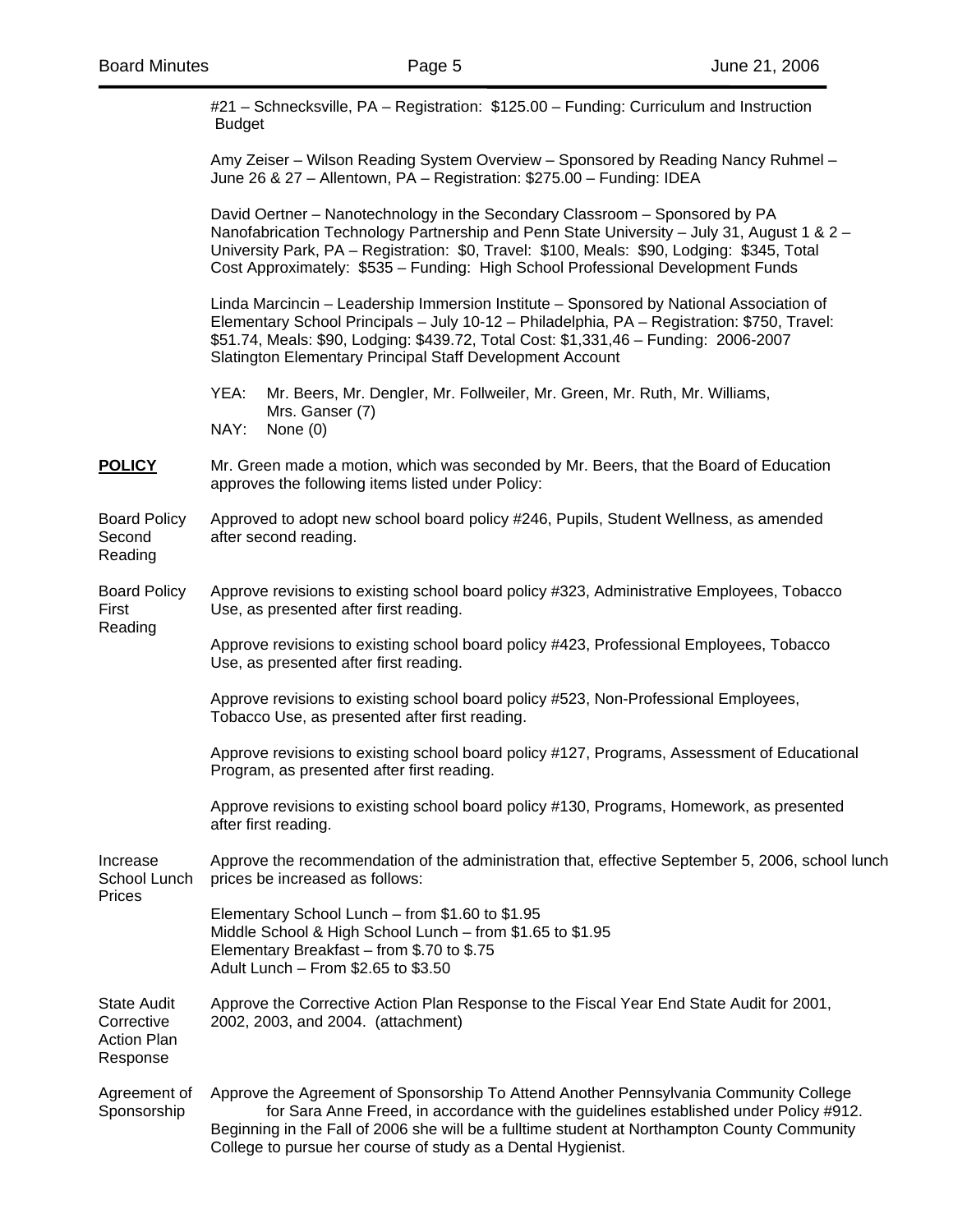|                                                                    | #21 - Schnecksville, PA - Registration: \$125.00 - Funding: Curriculum and Instruction<br><b>Budget</b>                                                                                                                                                                                                                                                    |  |  |  |  |
|--------------------------------------------------------------------|------------------------------------------------------------------------------------------------------------------------------------------------------------------------------------------------------------------------------------------------------------------------------------------------------------------------------------------------------------|--|--|--|--|
|                                                                    | Amy Zeiser - Wilson Reading System Overview - Sponsored by Reading Nancy Ruhmel -<br>June 26 & 27 - Allentown, PA - Registration: \$275.00 - Funding: IDEA                                                                                                                                                                                                 |  |  |  |  |
|                                                                    | David Oertner - Nanotechnology in the Secondary Classroom - Sponsored by PA<br>Nanofabrication Technology Partnership and Penn State University - July 31, August 1 & 2 -<br>University Park, PA - Registration: \$0, Travel: \$100, Meals: \$90, Lodging: \$345, Total<br>Cost Approximately: \$535 - Funding: High School Professional Development Funds |  |  |  |  |
|                                                                    | Linda Marcincin - Leadership Immersion Institute - Sponsored by National Association of<br>Elementary School Principals - July 10-12 - Philadelphia, PA - Registration: \$750, Travel:<br>\$51.74, Meals: \$90, Lodging: \$439.72, Total Cost: \$1,331,46 - Funding: 2006-2007<br>Slatington Elementary Principal Staff Development Account                |  |  |  |  |
|                                                                    | YEA:<br>Mr. Beers, Mr. Dengler, Mr. Follweiler, Mr. Green, Mr. Ruth, Mr. Williams,<br>Mrs. Ganser (7)<br>NAY:<br>None (0)                                                                                                                                                                                                                                  |  |  |  |  |
| <b>POLICY</b>                                                      | Mr. Green made a motion, which was seconded by Mr. Beers, that the Board of Education<br>approves the following items listed under Policy:                                                                                                                                                                                                                 |  |  |  |  |
| <b>Board Policy</b><br>Second<br>Reading                           | Approved to adopt new school board policy #246, Pupils, Student Wellness, as amended<br>after second reading.                                                                                                                                                                                                                                              |  |  |  |  |
| <b>Board Policy</b><br>First<br>Reading                            | Approve revisions to existing school board policy #323, Administrative Employees, Tobacco<br>Use, as presented after first reading.                                                                                                                                                                                                                        |  |  |  |  |
|                                                                    | Approve revisions to existing school board policy #423, Professional Employees, Tobacco<br>Use, as presented after first reading.                                                                                                                                                                                                                          |  |  |  |  |
|                                                                    | Approve revisions to existing school board policy #523, Non-Professional Employees,<br>Tobacco Use, as presented after first reading.                                                                                                                                                                                                                      |  |  |  |  |
|                                                                    | Approve revisions to existing school board policy #127, Programs, Assessment of Educational<br>Program, as presented after first reading.                                                                                                                                                                                                                  |  |  |  |  |
|                                                                    | Approve revisions to existing school board policy #130, Programs, Homework, as presented<br>after first reading.                                                                                                                                                                                                                                           |  |  |  |  |
| Increase<br>School Lunch<br>Prices                                 | Approve the recommendation of the administration that, effective September 5, 2006, school lunch<br>prices be increased as follows:                                                                                                                                                                                                                        |  |  |  |  |
|                                                                    | Elementary School Lunch - from \$1.60 to \$1.95<br>Middle School & High School Lunch - from \$1.65 to \$1.95<br>Elementary Breakfast - from \$.70 to \$.75<br>Adult Lunch - From \$2.65 to \$3.50                                                                                                                                                          |  |  |  |  |
| <b>State Audit</b><br>Corrective<br><b>Action Plan</b><br>Response | Approve the Corrective Action Plan Response to the Fiscal Year End State Audit for 2001,<br>2002, 2003, and 2004. (attachment)                                                                                                                                                                                                                             |  |  |  |  |
| Agreement of<br>Sponsorship                                        | Approve the Agreement of Sponsorship To Attend Another Pennsylvania Community College<br>for Sara Anne Freed, in accordance with the guidelines established under Policy #912.<br>Beginning in the Fall of 2006 she will be a fulltime student at Northampton County Community                                                                             |  |  |  |  |

College to pursue her course of study as a Dental Hygienist.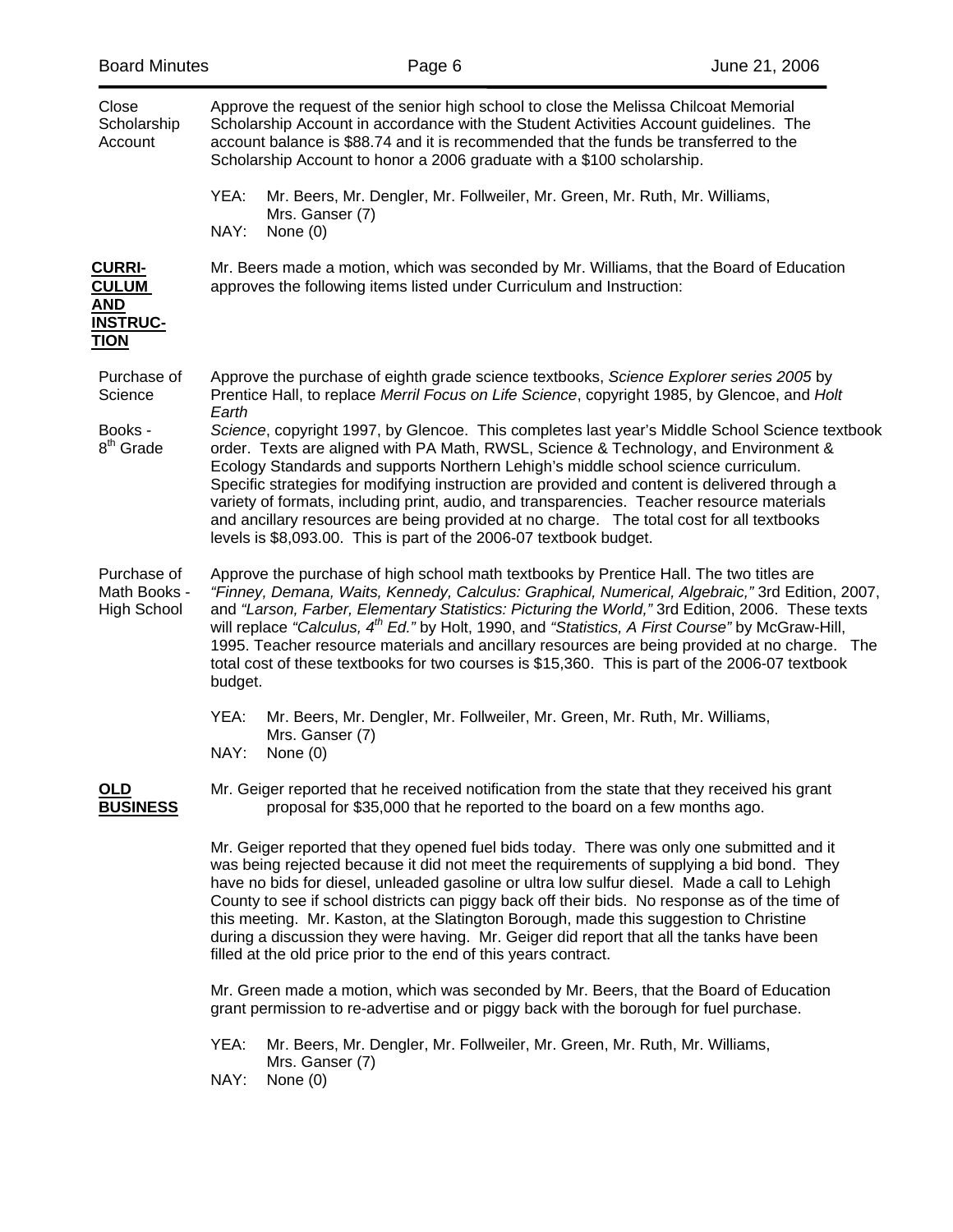| Close<br>Scholarship<br>Account                                               | Approve the request of the senior high school to close the Melissa Chilcoat Memorial<br>Scholarship Account in accordance with the Student Activities Account guidelines. The<br>account balance is \$88.74 and it is recommended that the funds be transferred to the<br>Scholarship Account to honor a 2006 graduate with a \$100 scholarship.                                                                                                                                                                                                                                                                                                                                                                                                                                                                                                   |  |  |  |
|-------------------------------------------------------------------------------|----------------------------------------------------------------------------------------------------------------------------------------------------------------------------------------------------------------------------------------------------------------------------------------------------------------------------------------------------------------------------------------------------------------------------------------------------------------------------------------------------------------------------------------------------------------------------------------------------------------------------------------------------------------------------------------------------------------------------------------------------------------------------------------------------------------------------------------------------|--|--|--|
|                                                                               | YEA:<br>Mr. Beers, Mr. Dengler, Mr. Follweiler, Mr. Green, Mr. Ruth, Mr. Williams,<br>Mrs. Ganser (7)<br>NAY:<br>None $(0)$                                                                                                                                                                                                                                                                                                                                                                                                                                                                                                                                                                                                                                                                                                                        |  |  |  |
| <b>CURRI-</b><br><b>CULUM</b><br><b>AND</b><br><b>INSTRUC-</b><br><b>TION</b> | Mr. Beers made a motion, which was seconded by Mr. Williams, that the Board of Education<br>approves the following items listed under Curriculum and Instruction:                                                                                                                                                                                                                                                                                                                                                                                                                                                                                                                                                                                                                                                                                  |  |  |  |
| Purchase of<br>Science<br>Books -<br>8 <sup>th</sup> Grade                    | Approve the purchase of eighth grade science textbooks, Science Explorer series 2005 by<br>Prentice Hall, to replace Merril Focus on Life Science, copyright 1985, by Glencoe, and Holt<br>Earth<br>Science, copyright 1997, by Glencoe. This completes last year's Middle School Science textbook<br>order. Texts are aligned with PA Math, RWSL, Science & Technology, and Environment &<br>Ecology Standards and supports Northern Lehigh's middle school science curriculum.<br>Specific strategies for modifying instruction are provided and content is delivered through a<br>variety of formats, including print, audio, and transparencies. Teacher resource materials<br>and ancillary resources are being provided at no charge. The total cost for all textbooks<br>levels is \$8,093.00. This is part of the 2006-07 textbook budget. |  |  |  |
| Purchase of<br>Math Books -<br><b>High School</b>                             | Approve the purchase of high school math textbooks by Prentice Hall. The two titles are<br>"Finney, Demana, Waits, Kennedy, Calculus: Graphical, Numerical, Algebraic," 3rd Edition, 2007,<br>and "Larson, Farber, Elementary Statistics: Picturing the World," 3rd Edition, 2006. These texts<br>will replace "Calculus, 4 <sup>th</sup> Ed." by Holt, 1990, and "Statistics, A First Course" by McGraw-Hill,<br>1995. Teacher resource materials and ancillary resources are being provided at no charge. The<br>total cost of these textbooks for two courses is \$15,360. This is part of the 2006-07 textbook<br>budget.<br>YEA:<br>Mr. Beers, Mr. Dengler, Mr. Follweiler, Mr. Green, Mr. Ruth, Mr. Williams,<br>Mrs. Ganser (7)                                                                                                             |  |  |  |
|                                                                               | NAY:<br>None $(0)$                                                                                                                                                                                                                                                                                                                                                                                                                                                                                                                                                                                                                                                                                                                                                                                                                                 |  |  |  |
| <u>OLD</u><br><b>BUSINESS</b>                                                 | Mr. Geiger reported that he received notification from the state that they received his grant<br>proposal for \$35,000 that he reported to the board on a few months ago.                                                                                                                                                                                                                                                                                                                                                                                                                                                                                                                                                                                                                                                                          |  |  |  |
|                                                                               | Mr. Geiger reported that they opened fuel bids today. There was only one submitted and it<br>was being rejected because it did not meet the requirements of supplying a bid bond. They<br>have no bids for diesel, unleaded gasoline or ultra low sulfur diesel. Made a call to Lehigh<br>County to see if school districts can piggy back off their bids. No response as of the time of<br>this meeting. Mr. Kaston, at the Slatington Borough, made this suggestion to Christine<br>during a discussion they were having. Mr. Geiger did report that all the tanks have been<br>filled at the old price prior to the end of this years contract.                                                                                                                                                                                                 |  |  |  |
|                                                                               | Mr. Green made a motion, which was seconded by Mr. Beers, that the Board of Education<br>grant permission to re-advertise and or piggy back with the borough for fuel purchase.                                                                                                                                                                                                                                                                                                                                                                                                                                                                                                                                                                                                                                                                    |  |  |  |
|                                                                               | YEA:<br>Mr. Beers, Mr. Dengler, Mr. Follweiler, Mr. Green, Mr. Ruth, Mr. Williams,<br>Mrs. Ganser (7)<br>None (0)<br>NAY:                                                                                                                                                                                                                                                                                                                                                                                                                                                                                                                                                                                                                                                                                                                          |  |  |  |
|                                                                               |                                                                                                                                                                                                                                                                                                                                                                                                                                                                                                                                                                                                                                                                                                                                                                                                                                                    |  |  |  |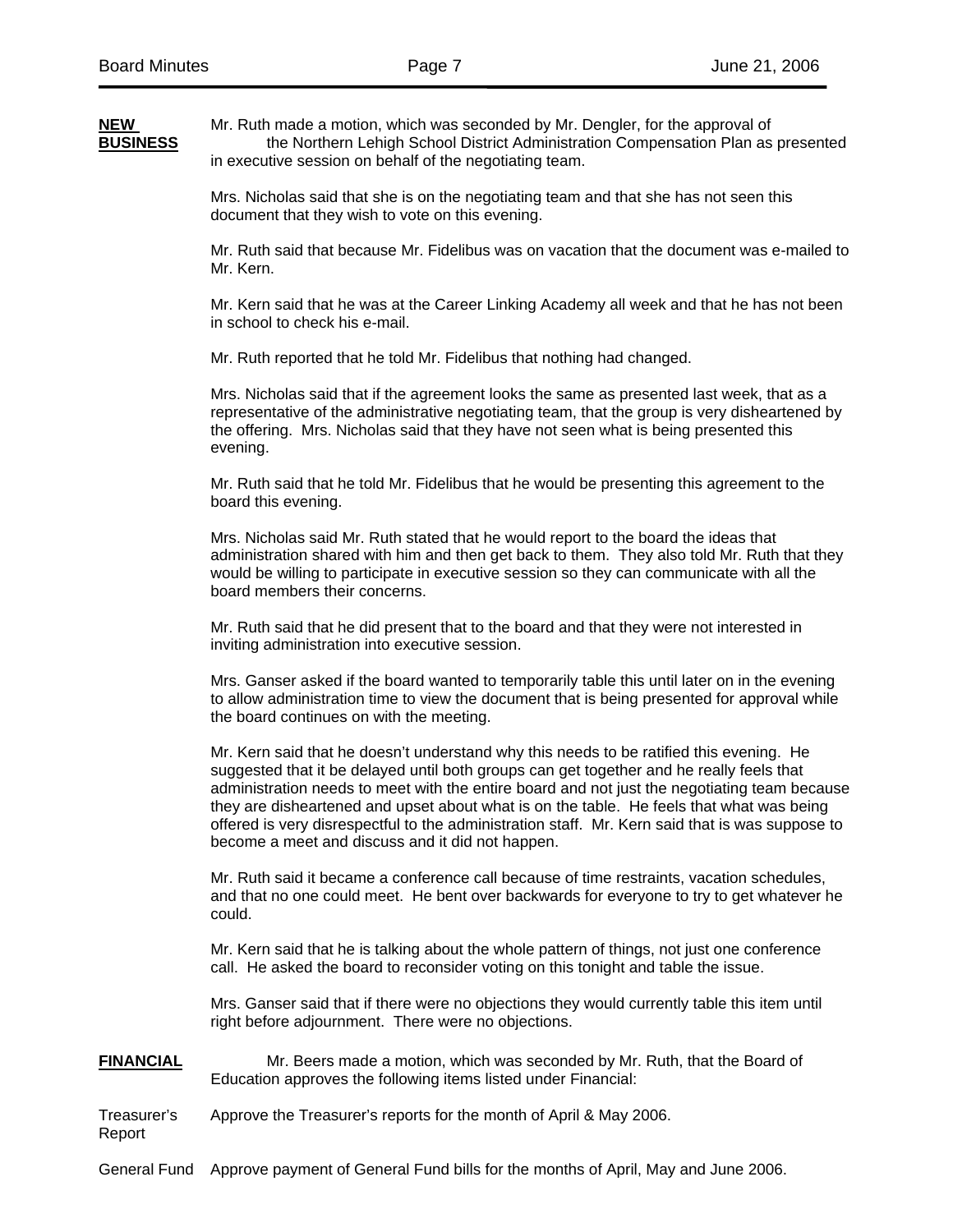**NEW** Mr. Ruth made a motion, which was seconded by Mr. Dengler, for the approval of **BUSINESS** the Northern Lehigh School District Administration Compensation Plan as presented in executive session on behalf of the negotiating team.

> Mrs. Nicholas said that she is on the negotiating team and that she has not seen this document that they wish to vote on this evening.

Mr. Ruth said that because Mr. Fidelibus was on vacation that the document was e-mailed to Mr. Kern.

Mr. Kern said that he was at the Career Linking Academy all week and that he has not been in school to check his e-mail.

Mr. Ruth reported that he told Mr. Fidelibus that nothing had changed.

Mrs. Nicholas said that if the agreement looks the same as presented last week, that as a representative of the administrative negotiating team, that the group is very disheartened by the offering. Mrs. Nicholas said that they have not seen what is being presented this evening.

Mr. Ruth said that he told Mr. Fidelibus that he would be presenting this agreement to the board this evening.

Mrs. Nicholas said Mr. Ruth stated that he would report to the board the ideas that administration shared with him and then get back to them. They also told Mr. Ruth that they would be willing to participate in executive session so they can communicate with all the board members their concerns.

Mr. Ruth said that he did present that to the board and that they were not interested in inviting administration into executive session.

Mrs. Ganser asked if the board wanted to temporarily table this until later on in the evening to allow administration time to view the document that is being presented for approval while the board continues on with the meeting.

Mr. Kern said that he doesn't understand why this needs to be ratified this evening. He suggested that it be delayed until both groups can get together and he really feels that administration needs to meet with the entire board and not just the negotiating team because they are disheartened and upset about what is on the table. He feels that what was being offered is very disrespectful to the administration staff. Mr. Kern said that is was suppose to become a meet and discuss and it did not happen.

Mr. Ruth said it became a conference call because of time restraints, vacation schedules, and that no one could meet. He bent over backwards for everyone to try to get whatever he could.

Mr. Kern said that he is talking about the whole pattern of things, not just one conference call. He asked the board to reconsider voting on this tonight and table the issue.

Mrs. Ganser said that if there were no objections they would currently table this item until right before adjournment. There were no objections.

**FINANCIAL** Mr. Beers made a motion, which was seconded by Mr. Ruth, that the Board of Education approves the following items listed under Financial:

Treasurer's Approve the Treasurer's reports for the month of April & May 2006. Report

General Fund Approve payment of General Fund bills for the months of April, May and June 2006.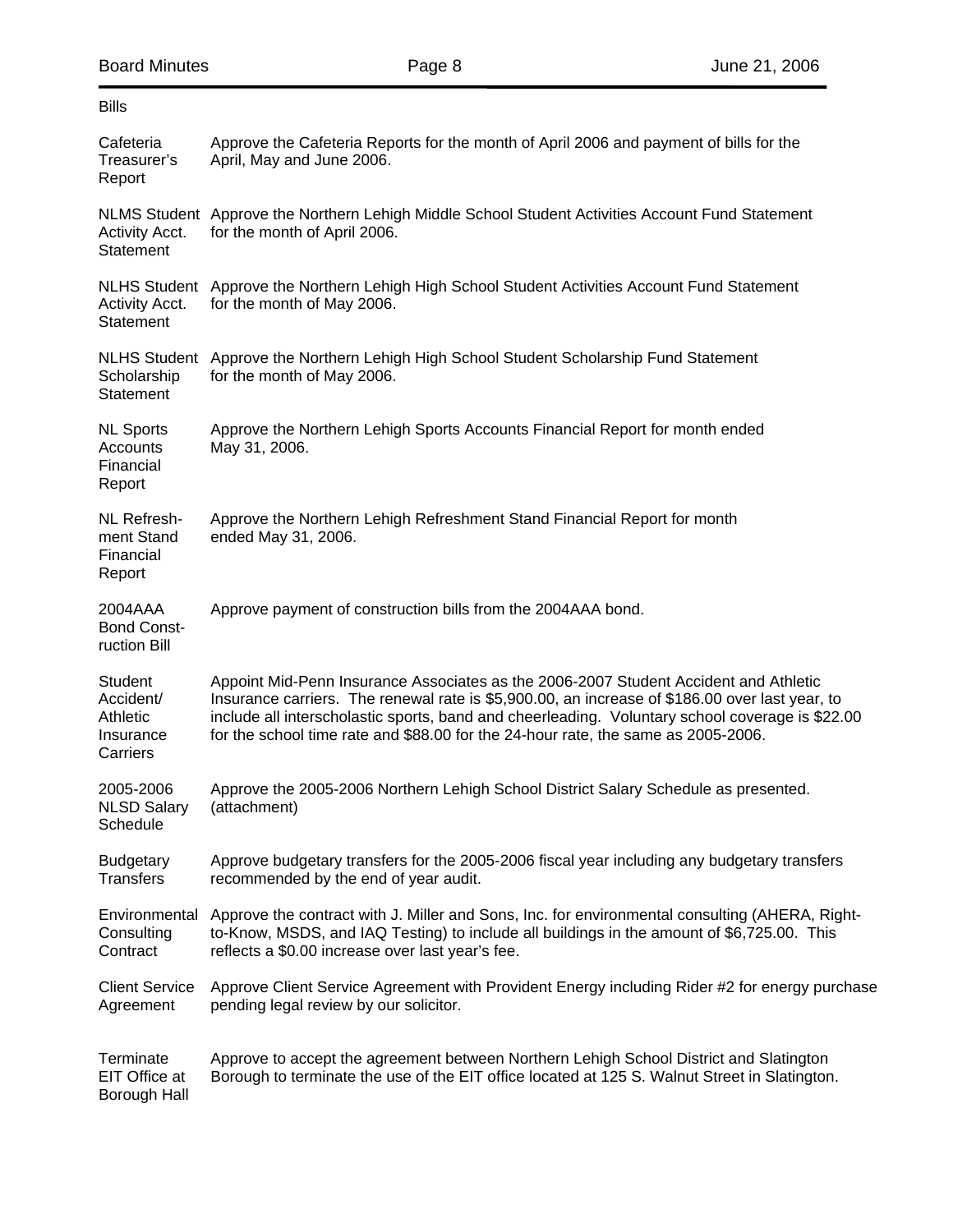| <b>Bills</b>                                              |                                                                                                                                                                                                                                                                                                                                                                                |
|-----------------------------------------------------------|--------------------------------------------------------------------------------------------------------------------------------------------------------------------------------------------------------------------------------------------------------------------------------------------------------------------------------------------------------------------------------|
| Cafeteria<br>Treasurer's<br>Report                        | Approve the Cafeteria Reports for the month of April 2006 and payment of bills for the<br>April, May and June 2006.                                                                                                                                                                                                                                                            |
| <b>Activity Acct.</b><br>Statement                        | NLMS Student Approve the Northern Lehigh Middle School Student Activities Account Fund Statement<br>for the month of April 2006.                                                                                                                                                                                                                                               |
| Activity Acct.<br><b>Statement</b>                        | NLHS Student Approve the Northern Lehigh High School Student Activities Account Fund Statement<br>for the month of May 2006.                                                                                                                                                                                                                                                   |
| <b>NLHS Student</b><br>Scholarship<br><b>Statement</b>    | Approve the Northern Lehigh High School Student Scholarship Fund Statement<br>for the month of May 2006.                                                                                                                                                                                                                                                                       |
| <b>NL Sports</b><br>Accounts<br>Financial<br>Report       | Approve the Northern Lehigh Sports Accounts Financial Report for month ended<br>May 31, 2006.                                                                                                                                                                                                                                                                                  |
| NL Refresh-<br>ment Stand<br>Financial<br>Report          | Approve the Northern Lehigh Refreshment Stand Financial Report for month<br>ended May 31, 2006.                                                                                                                                                                                                                                                                                |
| 2004AAA<br><b>Bond Const-</b><br>ruction Bill             | Approve payment of construction bills from the 2004AAA bond.                                                                                                                                                                                                                                                                                                                   |
| Student<br>Accident/<br>Athletic<br>Insurance<br>Carriers | Appoint Mid-Penn Insurance Associates as the 2006-2007 Student Accident and Athletic<br>Insurance carriers. The renewal rate is \$5,900.00, an increase of \$186.00 over last year, to<br>include all interscholastic sports, band and cheerleading. Voluntary school coverage is \$22.00<br>for the school time rate and \$88.00 for the 24-hour rate, the same as 2005-2006. |
| 2005-2006<br><b>NLSD Salary</b><br>Schedule               | Approve the 2005-2006 Northern Lehigh School District Salary Schedule as presented.<br>(attachment)                                                                                                                                                                                                                                                                            |
| <b>Budgetary</b><br><b>Transfers</b>                      | Approve budgetary transfers for the 2005-2006 fiscal year including any budgetary transfers<br>recommended by the end of year audit.                                                                                                                                                                                                                                           |
| Environmental<br>Consulting<br>Contract                   | Approve the contract with J. Miller and Sons, Inc. for environmental consulting (AHERA, Right-<br>to-Know, MSDS, and IAQ Testing) to include all buildings in the amount of \$6,725.00. This<br>reflects a \$0.00 increase over last year's fee.                                                                                                                               |
| <b>Client Service</b><br>Agreement                        | Approve Client Service Agreement with Provident Energy including Rider #2 for energy purchase<br>pending legal review by our solicitor.                                                                                                                                                                                                                                        |
| Terminate<br>EIT Office at<br><b>Borough Hall</b>         | Approve to accept the agreement between Northern Lehigh School District and Slatington<br>Borough to terminate the use of the EIT office located at 125 S. Walnut Street in Slatington.                                                                                                                                                                                        |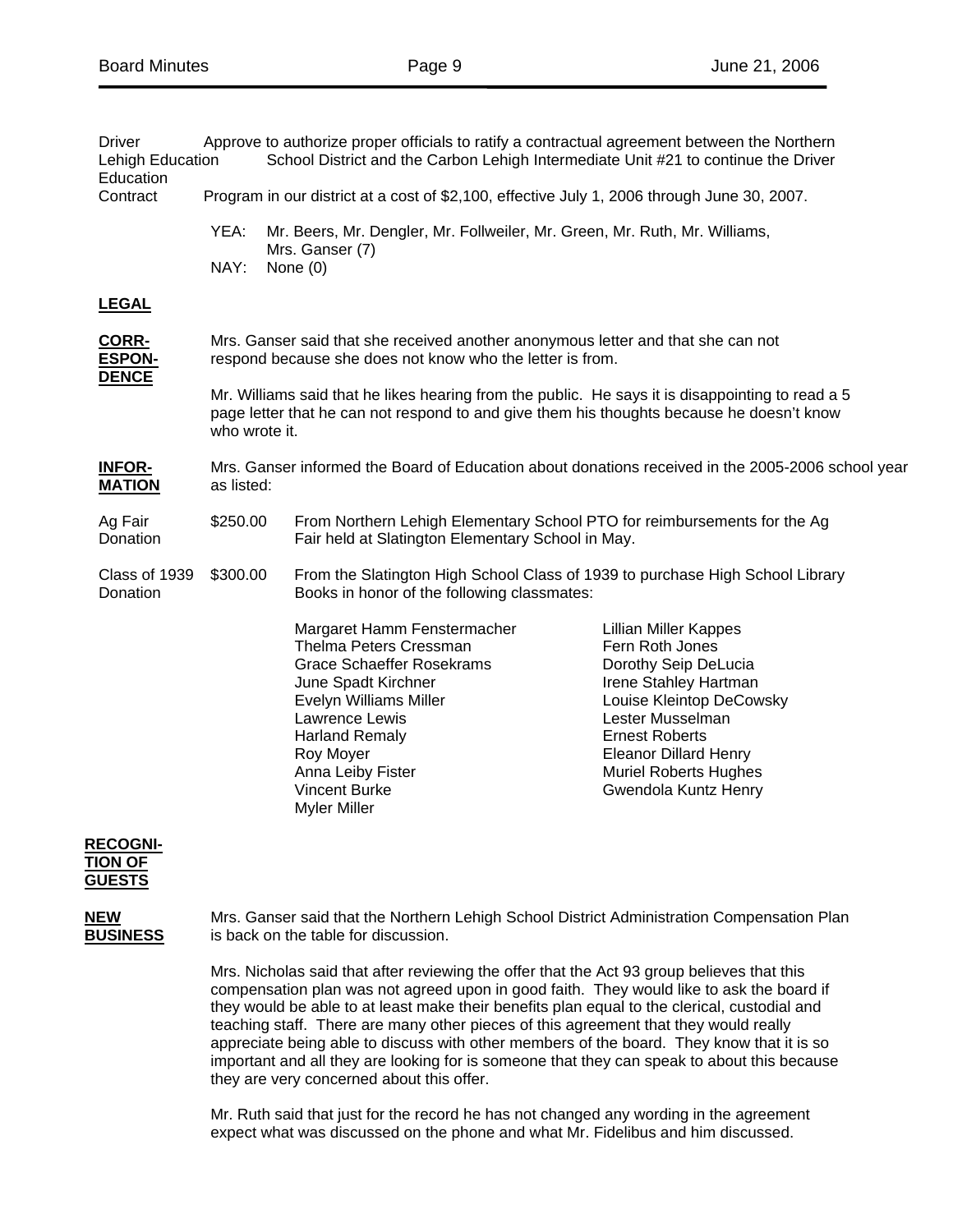| <b>Driver</b><br>Lehigh Education<br>Education     |                                                                                                                                               | Approve to authorize proper officials to ratify a contractual agreement between the Northern<br>School District and the Carbon Lehigh Intermediate Unit #21 to continue the Driver                                                                                     |                                                                                                                                                                                                                                                                   |  |  |  |
|----------------------------------------------------|-----------------------------------------------------------------------------------------------------------------------------------------------|------------------------------------------------------------------------------------------------------------------------------------------------------------------------------------------------------------------------------------------------------------------------|-------------------------------------------------------------------------------------------------------------------------------------------------------------------------------------------------------------------------------------------------------------------|--|--|--|
| Contract                                           |                                                                                                                                               | Program in our district at a cost of \$2,100, effective July 1, 2006 through June 30, 2007.                                                                                                                                                                            |                                                                                                                                                                                                                                                                   |  |  |  |
|                                                    | YEA:                                                                                                                                          | Mr. Beers, Mr. Dengler, Mr. Follweiler, Mr. Green, Mr. Ruth, Mr. Williams,<br>Mrs. Ganser (7)                                                                                                                                                                          |                                                                                                                                                                                                                                                                   |  |  |  |
|                                                    | NAY:                                                                                                                                          | None (0)                                                                                                                                                                                                                                                               |                                                                                                                                                                                                                                                                   |  |  |  |
| <b>LEGAL</b>                                       |                                                                                                                                               |                                                                                                                                                                                                                                                                        |                                                                                                                                                                                                                                                                   |  |  |  |
| <b>CORR-</b><br><b>ESPON-</b>                      | Mrs. Ganser said that she received another anonymous letter and that she can not<br>respond because she does not know who the letter is from. |                                                                                                                                                                                                                                                                        |                                                                                                                                                                                                                                                                   |  |  |  |
| <b>DENCE</b>                                       |                                                                                                                                               | Mr. Williams said that he likes hearing from the public. He says it is disappointing to read a 5<br>page letter that he can not respond to and give them his thoughts because he doesn't know<br>who wrote it.                                                         |                                                                                                                                                                                                                                                                   |  |  |  |
| <b>INFOR-</b><br><b>MATION</b>                     | Mrs. Ganser informed the Board of Education about donations received in the 2005-2006 school year<br>as listed:                               |                                                                                                                                                                                                                                                                        |                                                                                                                                                                                                                                                                   |  |  |  |
| Ag Fair<br>Donation                                | \$250.00                                                                                                                                      | From Northern Lehigh Elementary School PTO for reimbursements for the Ag<br>Fair held at Slatington Elementary School in May.                                                                                                                                          |                                                                                                                                                                                                                                                                   |  |  |  |
| Class of 1939<br>Donation                          | \$300.00                                                                                                                                      |                                                                                                                                                                                                                                                                        | From the Slatington High School Class of 1939 to purchase High School Library<br>Books in honor of the following classmates:                                                                                                                                      |  |  |  |
|                                                    |                                                                                                                                               | Margaret Hamm Fenstermacher<br>Thelma Peters Cressman<br><b>Grace Schaeffer Rosekrams</b><br>June Spadt Kirchner<br>Evelyn Williams Miller<br>Lawrence Lewis<br><b>Harland Remaly</b><br>Roy Moyer<br>Anna Leiby Fister<br><b>Vincent Burke</b><br><b>Myler Miller</b> | <b>Lillian Miller Kappes</b><br>Fern Roth Jones<br>Dorothy Seip DeLucia<br>Irene Stahley Hartman<br>Louise Kleintop DeCowsky<br>Lester Musselman<br><b>Ernest Roberts</b><br><b>Eleanor Dillard Henry</b><br><b>Muriel Roberts Hughes</b><br>Gwendola Kuntz Henry |  |  |  |
| <b>RECOGNI-</b><br><u>TION OF</u><br><b>GUESTS</b> |                                                                                                                                               |                                                                                                                                                                                                                                                                        |                                                                                                                                                                                                                                                                   |  |  |  |

**NEW** Mrs. Ganser said that the Northern Lehigh School District Administration Compensation Plan is back on the table for discussion.

> Mrs. Nicholas said that after reviewing the offer that the Act 93 group believes that this compensation plan was not agreed upon in good faith. They would like to ask the board if they would be able to at least make their benefits plan equal to the clerical, custodial and teaching staff. There are many other pieces of this agreement that they would really appreciate being able to discuss with other members of the board. They know that it is so important and all they are looking for is someone that they can speak to about this because they are very concerned about this offer.

Mr. Ruth said that just for the record he has not changed any wording in the agreement expect what was discussed on the phone and what Mr. Fidelibus and him discussed.